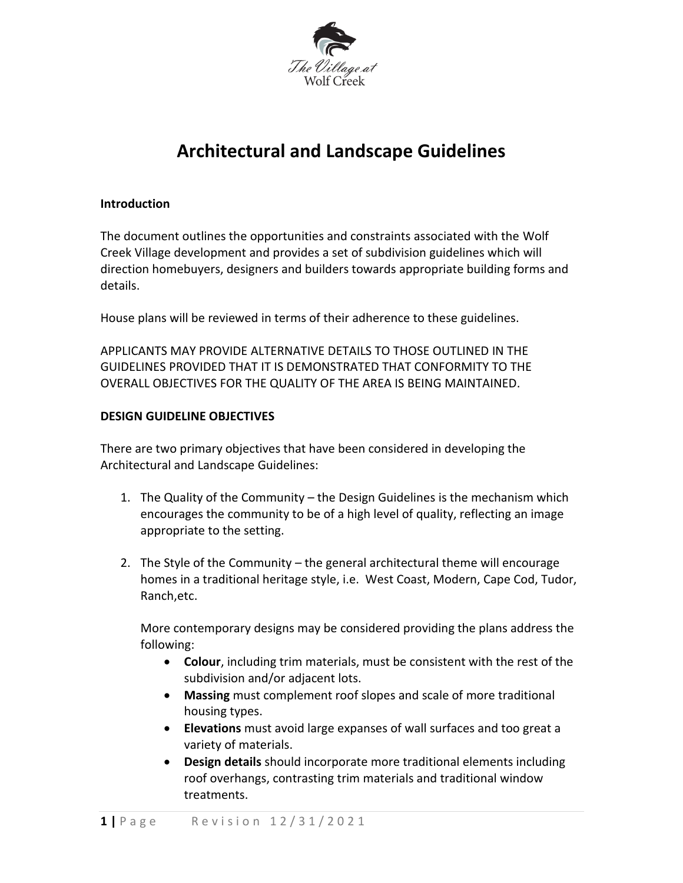

# **Architectural and Landscape Guidelines**

#### **Introduction**

The document outlines the opportunities and constraints associated with the Wolf Creek Village development and provides a set of subdivision guidelines which will direction homebuyers, designers and builders towards appropriate building forms and details.

House plans will be reviewed in terms of their adherence to these guidelines.

APPLICANTS MAY PROVIDE ALTERNATIVE DETAILS TO THOSE OUTLINED IN THE GUIDELINES PROVIDED THAT IT IS DEMONSTRATED THAT CONFORMITY TO THE OVERALL OBJECTIVES FOR THE QUALITY OF THE AREA IS BEING MAINTAINED.

#### **DESIGN GUIDELINE OBJECTIVES**

There are two primary objectives that have been considered in developing the Architectural and Landscape Guidelines:

- 1. The Quality of the Community the Design Guidelines is the mechanism which encourages the community to be of a high level of quality, reflecting an image appropriate to the setting.
- 2. The Style of the Community the general architectural theme will encourage homes in a traditional heritage style, i.e. West Coast, Modern, Cape Cod, Tudor, Ranch,etc.

More contemporary designs may be considered providing the plans address the following:

- **Colour**, including trim materials, must be consistent with the rest of the subdivision and/or adjacent lots.
- **Massing** must complement roof slopes and scale of more traditional housing types.
- **Elevations** must avoid large expanses of wall surfaces and too great a variety of materials.
- **Design details** should incorporate more traditional elements including roof overhangs, contrasting trim materials and traditional window treatments.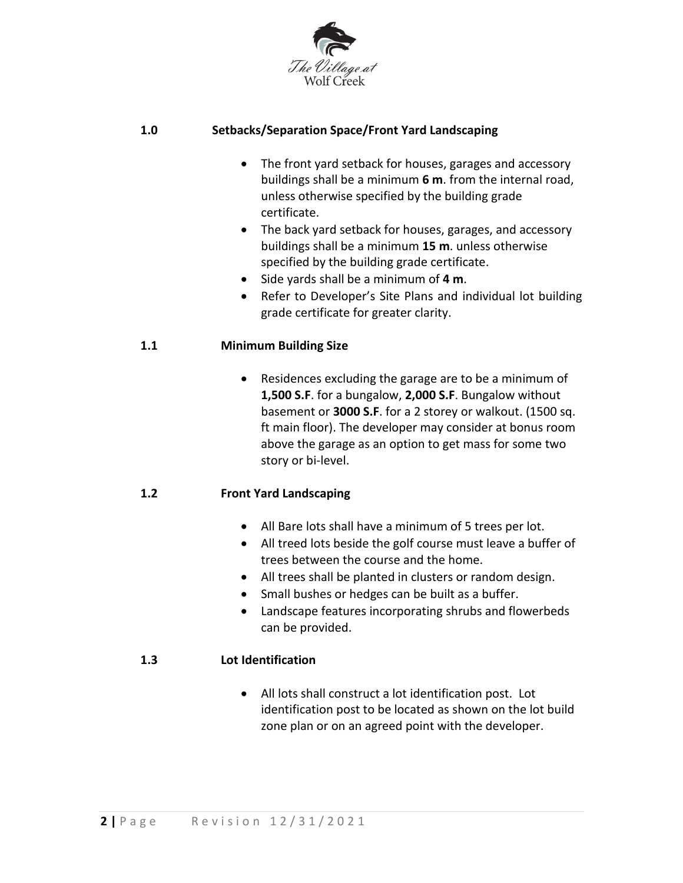

### **1.0 Setbacks/Separation Space/Front Yard Landscaping**

- The front yard setback for houses, garages and accessory buildings shall be a minimum **6 m**. from the internal road, unless otherwise specified by the building grade certificate.
- The back yard setback for houses, garages, and accessory buildings shall be a minimum **15 m**. unless otherwise specified by the building grade certificate.
- Side yards shall be a minimum of **4 m**.
- Refer to Developer's Site Plans and individual lot building grade certificate for greater clarity.

### **1.1 Minimum Building Size**

 Residences excluding the garage are to be a minimum of **1,500 S.F**. for a bungalow, **2,000 S.F**. Bungalow without basement or **3000 S.F**. for a 2 storey or walkout. (1500 sq. ft main floor). The developer may consider at bonus room above the garage as an option to get mass for some two story or bi-level.

### **1.2 Front Yard Landscaping**

- All Bare lots shall have a minimum of 5 trees per lot.
- All treed lots beside the golf course must leave a buffer of trees between the course and the home.
- All trees shall be planted in clusters or random design.
- Small bushes or hedges can be built as a buffer.
- Landscape features incorporating shrubs and flowerbeds can be provided.

### **1.3 Lot Identification**

 All lots shall construct a lot identification post. Lot identification post to be located as shown on the lot build zone plan or on an agreed point with the developer.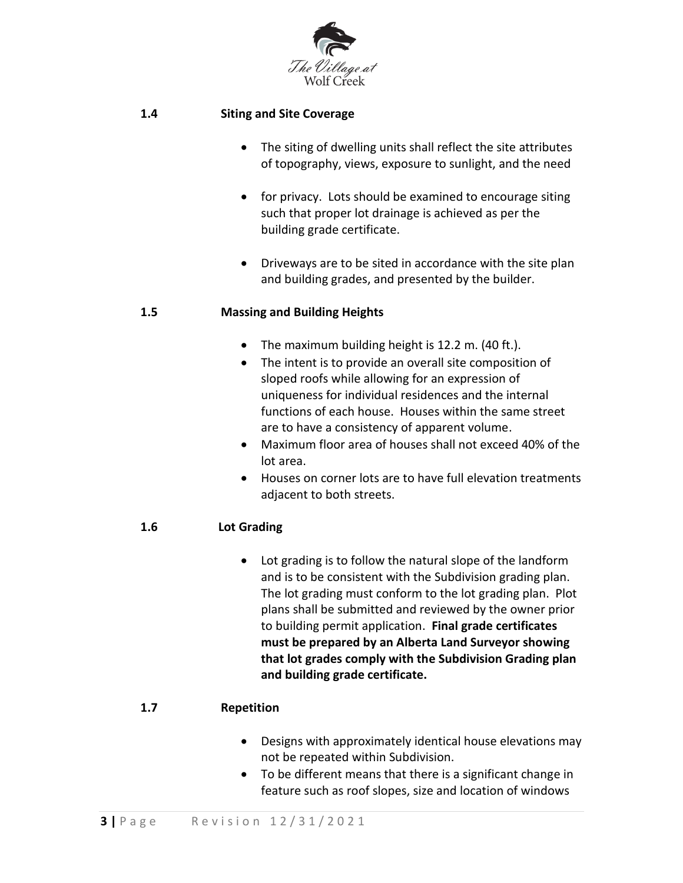

#### **1.4 Siting and Site Coverage**

- The siting of dwelling units shall reflect the site attributes of topography, views, exposure to sunlight, and the need
- for privacy. Lots should be examined to encourage siting such that proper lot drainage is achieved as per the building grade certificate.
- Driveways are to be sited in accordance with the site plan and building grades, and presented by the builder.

#### **1.5 Massing and Building Heights**

- The maximum building height is 12.2 m. (40 ft.).
- The intent is to provide an overall site composition of sloped roofs while allowing for an expression of uniqueness for individual residences and the internal functions of each house. Houses within the same street are to have a consistency of apparent volume.
- Maximum floor area of houses shall not exceed 40% of the lot area.
- Houses on corner lots are to have full elevation treatments adjacent to both streets.

### **1.6 Lot Grading**

 Lot grading is to follow the natural slope of the landform and is to be consistent with the Subdivision grading plan. The lot grading must conform to the lot grading plan. Plot plans shall be submitted and reviewed by the owner prior to building permit application. **Final grade certificates must be prepared by an Alberta Land Surveyor showing that lot grades comply with the Subdivision Grading plan and building grade certificate.**

### **1.7 Repetition**

- Designs with approximately identical house elevations may not be repeated within Subdivision.
- To be different means that there is a significant change in feature such as roof slopes, size and location of windows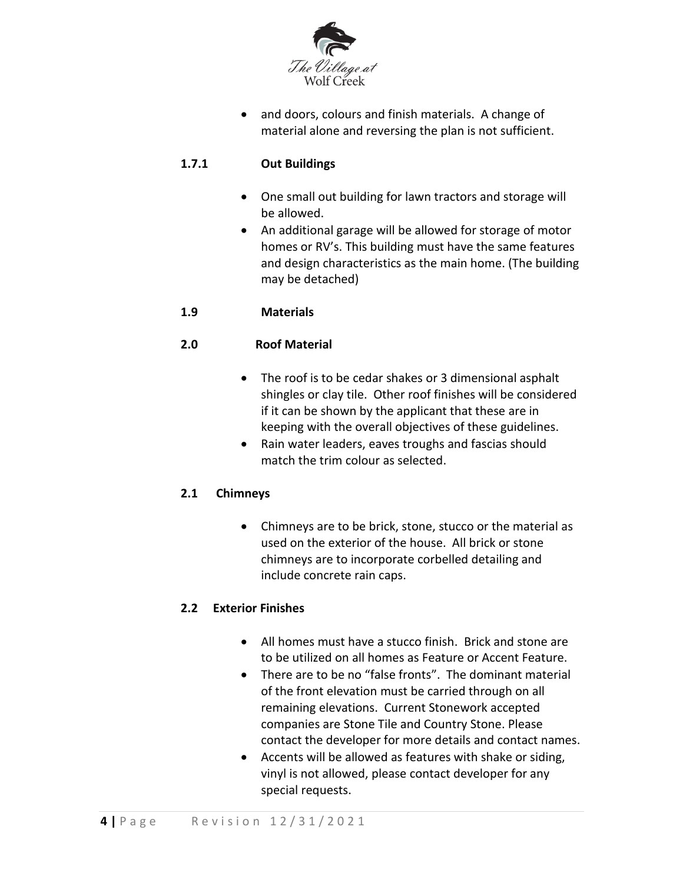

• and doors, colours and finish materials. A change of material alone and reversing the plan is not sufficient.

### **1.7.1 Out Buildings**

- One small out building for lawn tractors and storage will be allowed.
- An additional garage will be allowed for storage of motor homes or RV's. This building must have the same features and design characteristics as the main home. (The building may be detached)

### **1.9 Materials**

### **2.0 Roof Material**

- The roof is to be cedar shakes or 3 dimensional asphalt shingles or clay tile. Other roof finishes will be considered if it can be shown by the applicant that these are in keeping with the overall objectives of these guidelines.
- Rain water leaders, eaves troughs and fascias should match the trim colour as selected.

### **2.1 Chimneys**

 Chimneys are to be brick, stone, stucco or the material as used on the exterior of the house. All brick or stone chimneys are to incorporate corbelled detailing and include concrete rain caps.

### **2.2 Exterior Finishes**

- All homes must have a stucco finish. Brick and stone are to be utilized on all homes as Feature or Accent Feature.
- There are to be no "false fronts". The dominant material of the front elevation must be carried through on all remaining elevations. Current Stonework accepted companies are Stone Tile and Country Stone. Please contact the developer for more details and contact names.
- Accents will be allowed as features with shake or siding, vinyl is not allowed, please contact developer for any special requests.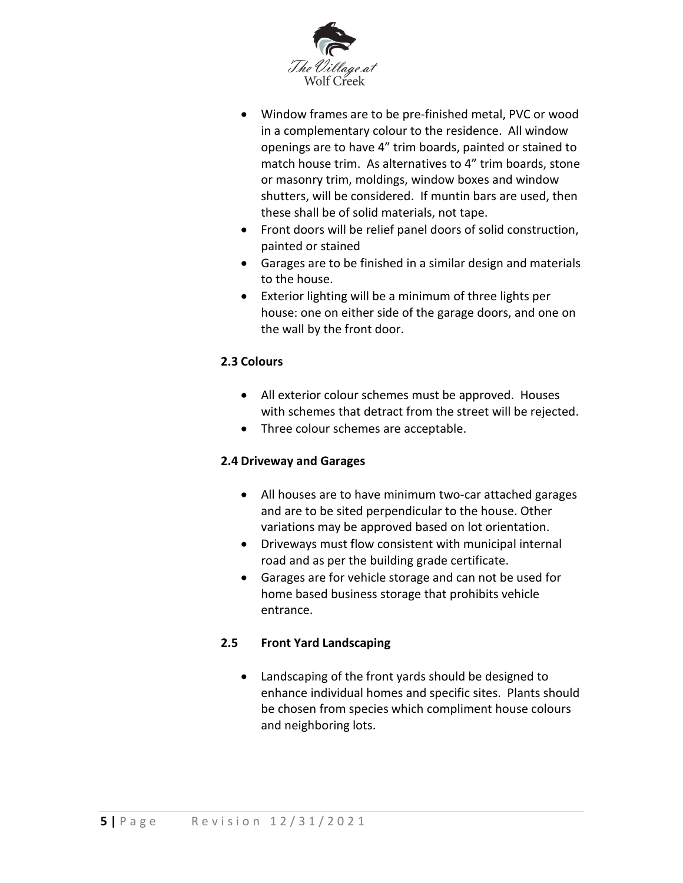

- Window frames are to be pre-finished metal, PVC or wood in a complementary colour to the residence. All window openings are to have 4" trim boards, painted or stained to match house trim. As alternatives to 4" trim boards, stone or masonry trim, moldings, window boxes and window shutters, will be considered. If muntin bars are used, then these shall be of solid materials, not tape.
- Front doors will be relief panel doors of solid construction, painted or stained
- Garages are to be finished in a similar design and materials to the house.
- Exterior lighting will be a minimum of three lights per house: one on either side of the garage doors, and one on the wall by the front door.

## **2.3 Colours**

- All exterior colour schemes must be approved. Houses with schemes that detract from the street will be rejected.
- Three colour schemes are acceptable.

### **2.4 Driveway and Garages**

- All houses are to have minimum two-car attached garages and are to be sited perpendicular to the house. Other variations may be approved based on lot orientation.
- Driveways must flow consistent with municipal internal road and as per the building grade certificate.
- Garages are for vehicle storage and can not be used for home based business storage that prohibits vehicle entrance.

### **2.5 Front Yard Landscaping**

 Landscaping of the front yards should be designed to enhance individual homes and specific sites. Plants should be chosen from species which compliment house colours and neighboring lots.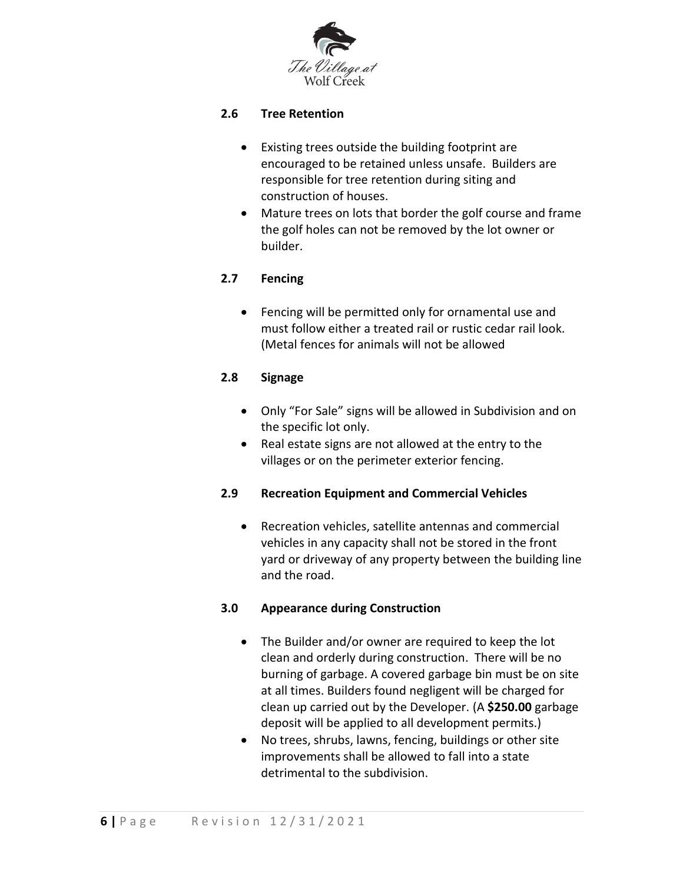

### **2.6 Tree Retention**

- Existing trees outside the building footprint are encouraged to be retained unless unsafe. Builders are responsible for tree retention during siting and construction of houses.
- Mature trees on lots that border the golf course and frame the golf holes can not be removed by the lot owner or builder.

### **2.7 Fencing**

 Fencing will be permitted only for ornamental use and must follow either a treated rail or rustic cedar rail look. (Metal fences for animals will not be allowed

### **2.8 Signage**

- Only "For Sale" signs will be allowed in Subdivision and on the specific lot only.
- Real estate signs are not allowed at the entry to the villages or on the perimeter exterior fencing.

### **2.9 Recreation Equipment and Commercial Vehicles**

 Recreation vehicles, satellite antennas and commercial vehicles in any capacity shall not be stored in the front yard or driveway of any property between the building line and the road.

### **3.0 Appearance during Construction**

- The Builder and/or owner are required to keep the lot clean and orderly during construction. There will be no burning of garbage. A covered garbage bin must be on site at all times. Builders found negligent will be charged for clean up carried out by the Developer. (A **\$250.00** garbage deposit will be applied to all development permits.)
- No trees, shrubs, lawns, fencing, buildings or other site improvements shall be allowed to fall into a state detrimental to the subdivision.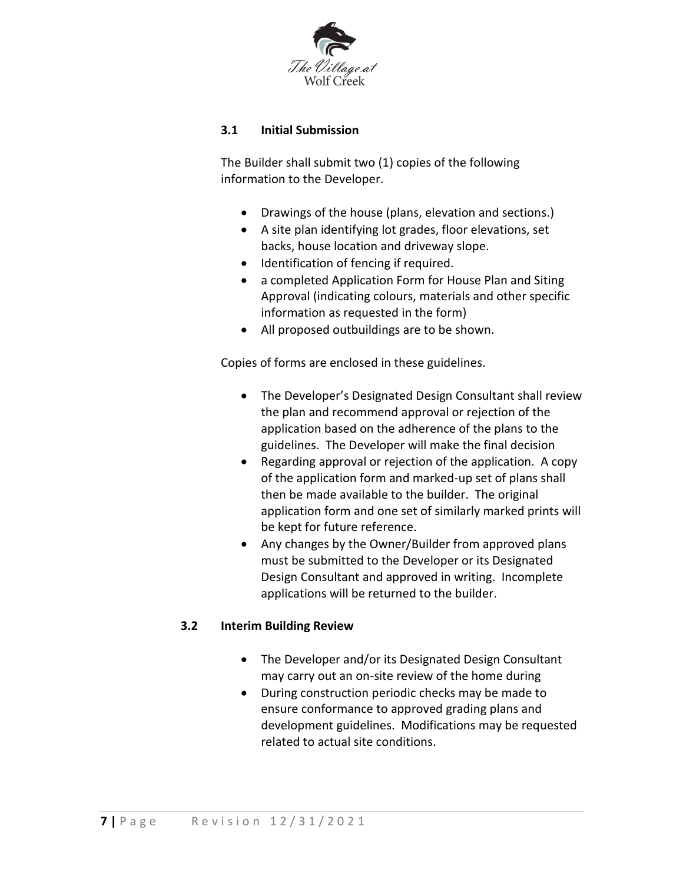

### **3.1 Initial Submission**

The Builder shall submit two (1) copies of the following information to the Developer.

- Drawings of the house (plans, elevation and sections.)
- A site plan identifying lot grades, floor elevations, set backs, house location and driveway slope.
- $\bullet$  Identification of fencing if required.
- a completed Application Form for House Plan and Siting Approval (indicating colours, materials and other specific information as requested in the form)
- All proposed outbuildings are to be shown.

Copies of forms are enclosed in these guidelines.

- The Developer's Designated Design Consultant shall review the plan and recommend approval or rejection of the application based on the adherence of the plans to the guidelines. The Developer will make the final decision
- Regarding approval or rejection of the application. A copy of the application form and marked-up set of plans shall then be made available to the builder. The original application form and one set of similarly marked prints will be kept for future reference.
- Any changes by the Owner/Builder from approved plans must be submitted to the Developer or its Designated Design Consultant and approved in writing. Incomplete applications will be returned to the builder.

### **3.2 Interim Building Review**

- The Developer and/or its Designated Design Consultant may carry out an on-site review of the home during
- During construction periodic checks may be made to ensure conformance to approved grading plans and development guidelines. Modifications may be requested related to actual site conditions.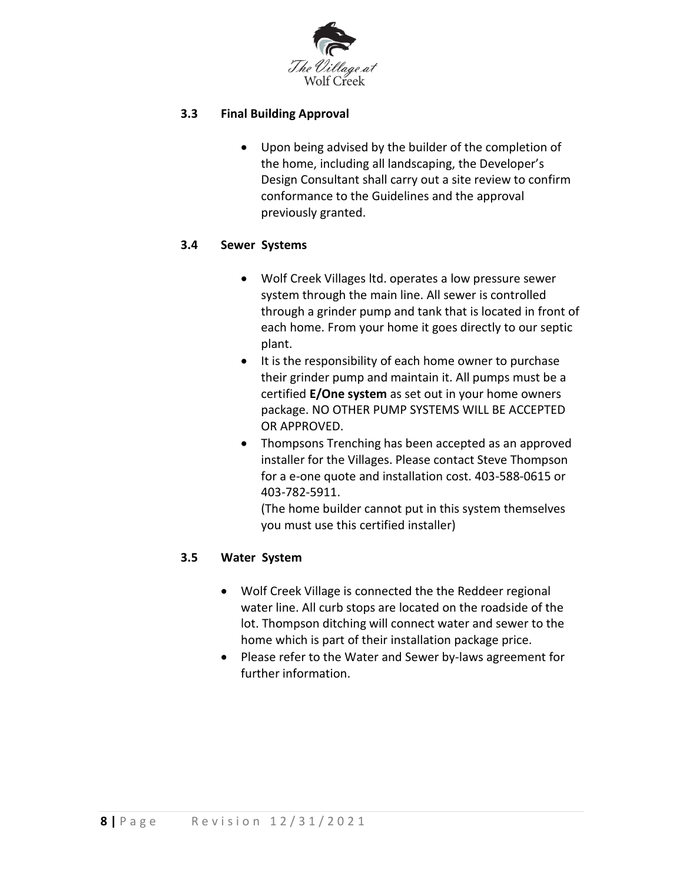

### **3.3 Final Building Approval**

 Upon being advised by the builder of the completion of the home, including all landscaping, the Developer's Design Consultant shall carry out a site review to confirm conformance to the Guidelines and the approval previously granted.

### **3.4 Sewer Systems**

- Wolf Creek Villages ltd. operates a low pressure sewer system through the main line. All sewer is controlled through a grinder pump and tank that is located in front of each home. From your home it goes directly to our septic plant.
- It is the responsibility of each home owner to purchase their grinder pump and maintain it. All pumps must be a certified **E/One system** as set out in your home owners package. NO OTHER PUMP SYSTEMS WILL BE ACCEPTED OR APPROVED.
- Thompsons Trenching has been accepted as an approved installer for the Villages. Please contact Steve Thompson for a e-one quote and installation cost. 403-588-0615 or 403-782-5911.

(The home builder cannot put in this system themselves you must use this certified installer)

### **3.5 Water System**

- Wolf Creek Village is connected the the Reddeer regional water line. All curb stops are located on the roadside of the lot. Thompson ditching will connect water and sewer to the home which is part of their installation package price.
- Please refer to the Water and Sewer by-laws agreement for further information.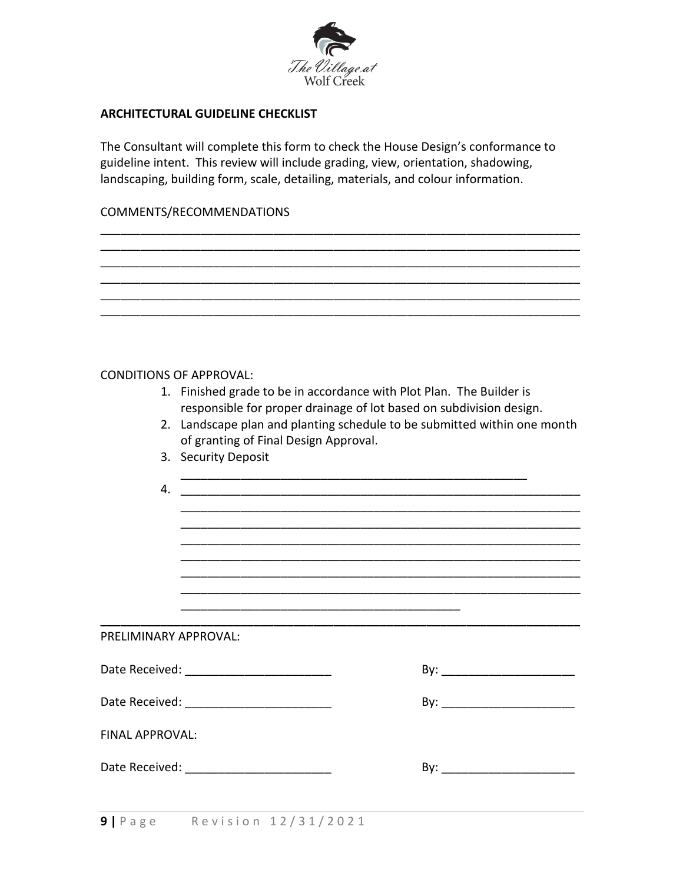

#### **ARCHITECTURAL GUIDELINE CHECKLIST**

The Consultant will complete this form to check the House Design's conformance to guideline intent. This review will include grading, view, orientation, shadowing, landscaping, building form, scale, detailing, materials, and colour information.

\_\_\_\_\_\_\_\_\_\_\_\_\_\_\_\_\_\_\_\_\_\_\_\_\_\_\_\_\_\_\_\_\_\_\_\_\_\_\_\_\_\_\_\_\_\_\_\_\_\_\_\_\_\_\_\_\_\_\_\_\_\_\_\_\_\_\_\_\_\_\_\_

### COMMENTS/RECOMMENDATIONS

|                        | <b>CONDITIONS OF APPROVAL:</b>                                                                                                                                                                                                 |  |  |  |  |  |
|------------------------|--------------------------------------------------------------------------------------------------------------------------------------------------------------------------------------------------------------------------------|--|--|--|--|--|
|                        | 1. Finished grade to be in accordance with Plot Plan. The Builder is                                                                                                                                                           |  |  |  |  |  |
|                        | responsible for proper drainage of lot based on subdivision design.<br>2. Landscape plan and planting schedule to be submitted within one month                                                                                |  |  |  |  |  |
|                        | of granting of Final Design Approval.                                                                                                                                                                                          |  |  |  |  |  |
|                        | 3. Security Deposit                                                                                                                                                                                                            |  |  |  |  |  |
| 4.                     |                                                                                                                                                                                                                                |  |  |  |  |  |
|                        |                                                                                                                                                                                                                                |  |  |  |  |  |
|                        |                                                                                                                                                                                                                                |  |  |  |  |  |
|                        |                                                                                                                                                                                                                                |  |  |  |  |  |
|                        |                                                                                                                                                                                                                                |  |  |  |  |  |
|                        |                                                                                                                                                                                                                                |  |  |  |  |  |
| PRELIMINARY APPROVAL:  |                                                                                                                                                                                                                                |  |  |  |  |  |
|                        | By: __________________________<br>Date Received: _________________________                                                                                                                                                     |  |  |  |  |  |
|                        |                                                                                                                                                                                                                                |  |  |  |  |  |
| <b>FINAL APPROVAL:</b> |                                                                                                                                                                                                                                |  |  |  |  |  |
|                        | Date Received: The Case of the Case of the Case of the Case of the Case of the Case of the Case of the Case of the Case of the Case of the Case of the Case of the Case of the Case of the Case of the Case of the Case of the |  |  |  |  |  |
|                        |                                                                                                                                                                                                                                |  |  |  |  |  |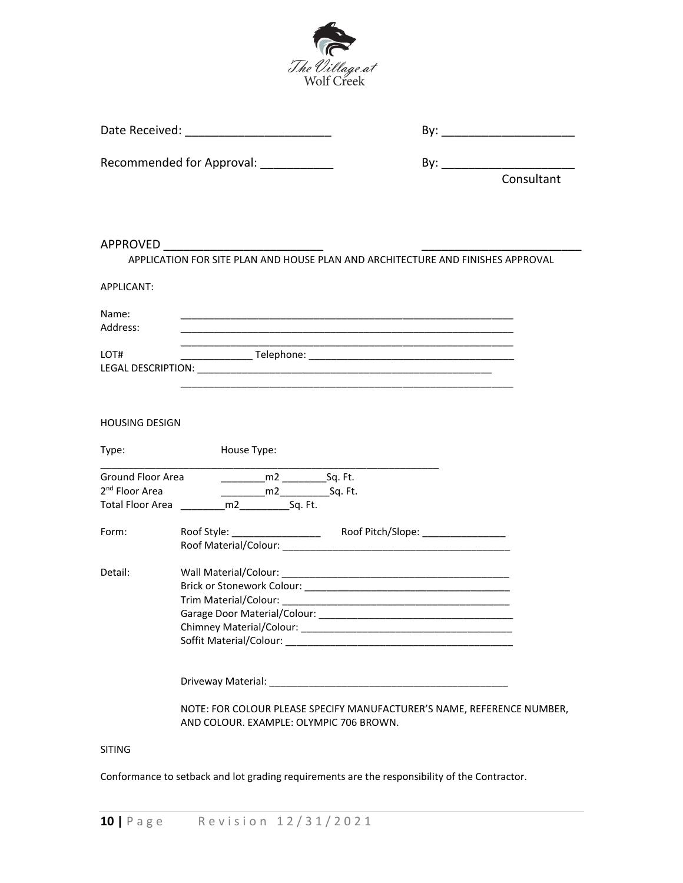

Date Received: \_\_\_\_\_\_\_\_\_\_\_\_\_\_\_\_\_\_\_\_\_\_ By: \_\_\_\_\_\_\_\_\_\_\_\_\_\_\_\_\_\_\_\_

Recommended for Approval: \_\_\_\_\_\_\_\_\_\_\_ By: \_\_\_\_\_\_\_\_\_\_\_\_\_\_\_\_\_\_\_\_

|                                                 | Consultant                                                                                                                 |
|-------------------------------------------------|----------------------------------------------------------------------------------------------------------------------------|
|                                                 |                                                                                                                            |
| APPROVED                                        |                                                                                                                            |
|                                                 | APPLICATION FOR SITE PLAN AND HOUSE PLAN AND ARCHITECTURE AND FINISHES APPROVAL                                            |
| <b>APPLICANT:</b>                               |                                                                                                                            |
| Name:<br>Address:                               |                                                                                                                            |
| LOT#                                            |                                                                                                                            |
|                                                 |                                                                                                                            |
| <b>HOUSING DESIGN</b>                           |                                                                                                                            |
| Type:                                           | House Type:                                                                                                                |
| Ground Floor Area<br>2 <sup>nd</sup> Floor Area | $\frac{m}{2}$ Sq. Ft.<br>____________m2________________Sq. Ft.<br>Total Floor Area ____________m2__________________Sq. Ft. |
| Form:                                           |                                                                                                                            |
| Detail:                                         |                                                                                                                            |
|                                                 |                                                                                                                            |
|                                                 | NOTE: FOR COLOUR PLEASE SPECIFY MANUFACTURER'S NAME, REFERENCE NUMBER,<br>AND COLOUR. EXAMPLE: OLYMPIC 706 BROWN.          |
| <b>SITING</b>                                   |                                                                                                                            |

Conformance to setback and lot grading requirements are the responsibility of the Contractor.